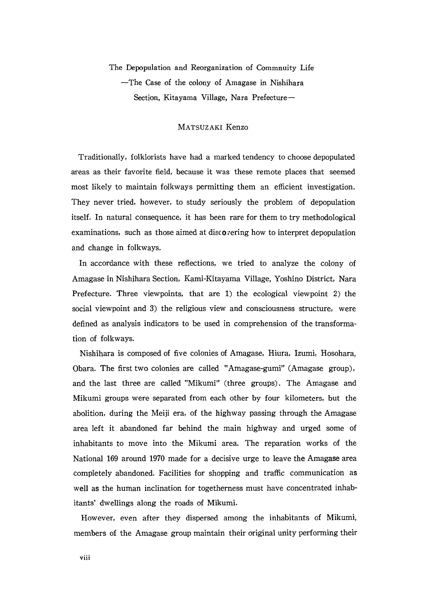The Depopulation and Reorganization of Commnuity Life -The Case of the colony of Amagase in Nishihara Section, Kitayama Village, Nara Prefecture-

## MATsuzAKI Kenzo

 Traditionally, folklorists have had a marked tendency to choose depopulated areas as their favorite field, because it was these remote places that seemed most likely to maintain folkways permitting them an efficient investigation. They never tried, however, to study seriously the problem of depopulation itself. In natural consequence, it has been rare for them to try methodological examinations, such as those aimed at discovering how to interpret depopulation and change in folkways.

 In accordance with these reflections, we tried to analyze the colony of Amagase in Nishihara Section, Kami-Kitayama Village, Yoshino District, Nara Prefecture. Three viewpoints, that are 1) the ecological viewpoint 2) the social viewpoint and 3) the religious view and consciousness structure, were defined as analysis indicators to be used in comprehension of the transforma tion of folkways.

 Nishihara is composed of five colonies of Amagase, Hiura, Izumi, Hosohara, Obara. The first two colonies are called"Amagase-gumi"(Amagase group), and the last three are called "Mikumi" (three groups). The Amagase and Mikumi groups were separated from each other by four kilometers, but the abolition, during the Meiji era, of the highway passing through the Amagase area left it abandoned far behind the main highway and urged some of inhabitants to move into the Mikumi area. The reparation works of the National 169 around 1970 made for a decisive urge to leave the Amagase area completely abandoned. Facilities for shopping and traffic communication as well as the human inclination for togetherness must have concentrated inhabitants' dwellings along the roads of Mikumi.

 However, even after they dispersed among the inhabitants of Mikumi, members of the Amagase group maintain their original unity performing their